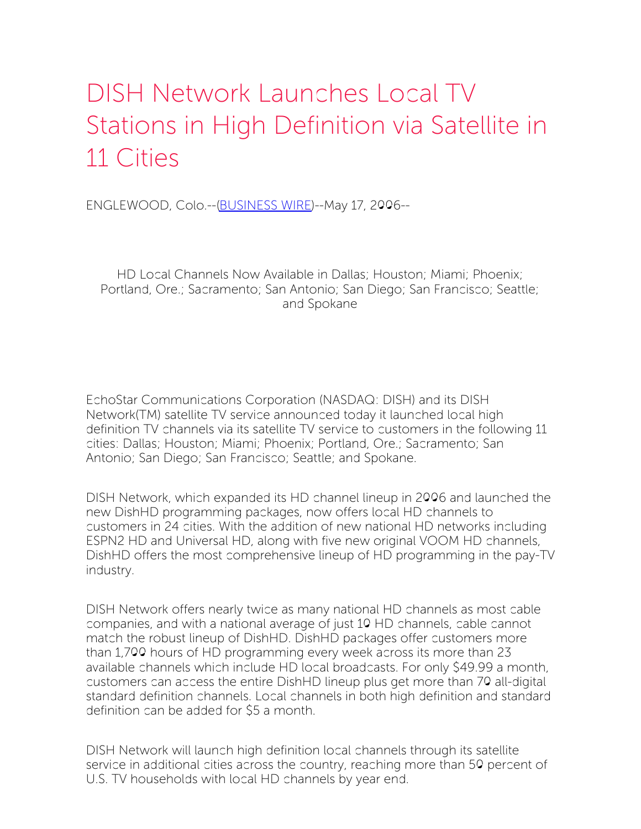## DISH Network Launches Local TV Stations in High Definition via Satellite in 11 Cities

ENGLEWOOD, Colo.--[\(BUSINESS](http://www.businesswire.com/) WIRE)--May 17, 2006--

HD Local Channels Now Available in Dallas; Houston; Miami; Phoenix; Portland, Ore.; Sacramento; San Antonio; San Diego; San Francisco; Seattle; and Spokane

EchoStar Communications Corporation (NASDAQ: DISH) and its DISH Network(TM) satellite TV service announced today it launched local high definition TV channels via its satellite TV service to customers in the following 11 cities: Dallas; Houston; Miami; Phoenix; Portland, Ore.; Sacramento; San Antonio; San Diego; San Francisco; Seattle; and Spokane.

DISH Network, which expanded its HD channel lineup in 2006 and launched the new DishHD programming packages, now offers local HD channels to customers in 24 cities. With the addition of new national HD networks including ESPN2 HD and Universal HD, along with five new original VOOM HD channels, DishHD offers the most comprehensive lineup of HD programming in the pay-TV industry.

DISH Network offers nearly twice as many national HD channels as most cable companies, and with a national average of just 10 HD channels, cable cannot match the robust lineup of DishHD. DishHD packages offer customers more than 1,700 hours of HD programming every week across its more than 23 available channels which include HD local broadcasts. For only \$49.99 a month, customers can access the entire DishHD lineup plus get more than 70 all-digital standard definition channels. Local channels in both high definition and standard definition can be added for \$5 a month.

DISH Network will launch high definition local channels through its satellite service in additional cities across the country, reaching more than 50 percent of U.S. TV households with local HD channels by year end.